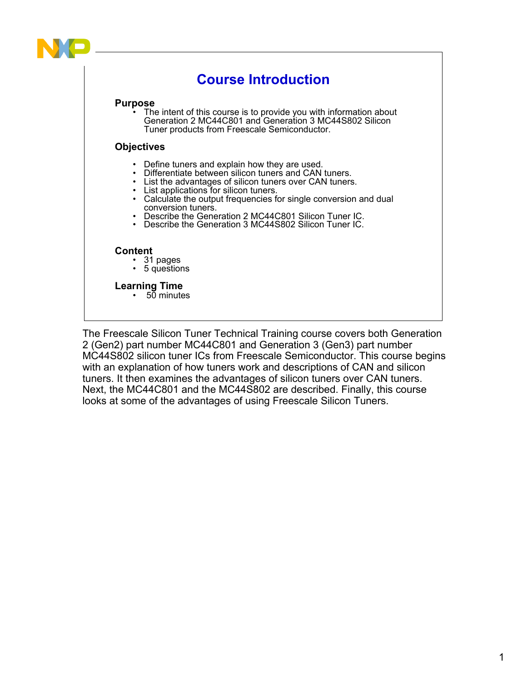# **Course Introduction**

### **Purpose**

The intent of this course is to provide you with information about Generation 2 MC44C801 and Generation 3 MC44S802 Silicon Tuner products from Freescale Semiconductor.

### **Objectives**

- Define tuners and explain how they are used.
- Differentiate between silicon tuners and CAN tuners.
- List the advantages of silicon tuners over CAN tuners.
- List applications for silicon tuners.
- Calculate the output frequencies for single conversion and dual conversion tuners.
- Describe the Generation 2 MC44C801 Silicon Tuner IC.
- Describe the Generation 3 MC44S802 Silicon Tuner IC.

### **Content**

- 31 pages
- 5 questions

### **Learning Time**

• 50 minutes

The Freescale Silicon Tuner Technical Training course covers both Generation 2 (Gen2) part number MC44C801 and Generation 3 (Gen3) part number MC44S802 silicon tuner ICs from Freescale Semiconductor. This course begins with an explanation of how tuners work and descriptions of CAN and silicon tuners. It then examines the advantages of silicon tuners over CAN tuners. Next, the MC44C801 and the MC44S802 are described. Finally, this course looks at some of the advantages of using Freescale Silicon Tuners.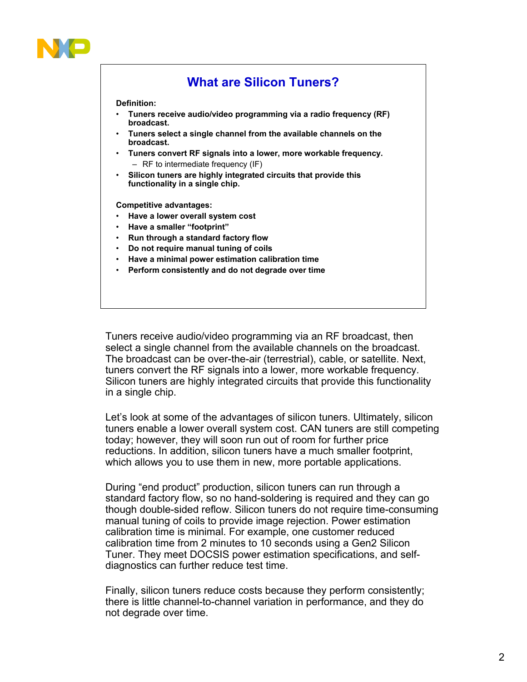

## **What are Silicon Tuners?**

#### **Definition:**

- **Tuners receive audio/video programming via a radio frequency (RF) broadcast.**
- **Tuners select a single channel from the available channels on the broadcast.**
- **Tuners convert RF signals into a lower, more workable frequency.** – RF to intermediate frequency (IF)
- **Silicon tuners are highly integrated circuits that provide this functionality in a single chip.**

**Competitive advantages:**

- **Have a lower overall system cost**
- **Have a smaller "footprint"**
- **Run through a standard factory flow**
- **Do not require manual tuning of coils**
- **Have a minimal power estimation calibration time**
- **Perform consistently and do not degrade over time**

Tuners receive audio/video programming via an RF broadcast, then select a single channel from the available channels on the broadcast. The broadcast can be over-the-air (terrestrial), cable, or satellite. Next, tuners convert the RF signals into a lower, more workable frequency. Silicon tuners are highly integrated circuits that provide this functionality in a single chip.

Let's look at some of the advantages of silicon tuners. Ultimately, silicon tuners enable a lower overall system cost. CAN tuners are still competing today; however, they will soon run out of room for further price reductions. In addition, silicon tuners have a much smaller footprint, which allows you to use them in new, more portable applications.

During "end product" production, silicon tuners can run through a standard factory flow, so no hand-soldering is required and they can go though double-sided reflow. Silicon tuners do not require time-consuming manual tuning of coils to provide image rejection. Power estimation calibration time is minimal. For example, one customer reduced calibration time from 2 minutes to 10 seconds using a Gen2 Silicon Tuner. They meet DOCSIS power estimation specifications, and selfdiagnostics can further reduce test time.

Finally, silicon tuners reduce costs because they perform consistently; there is little channel-to-channel variation in performance, and they do not degrade over time.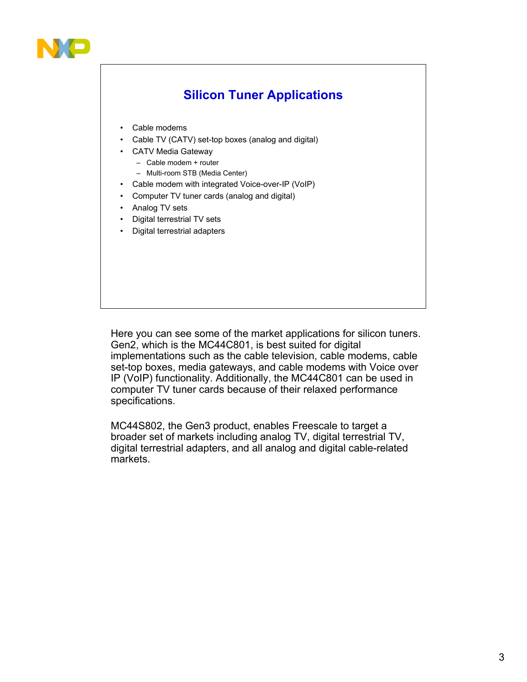

# **Silicon Tuner Applications**

- Cable modems
- Cable TV (CATV) set-top boxes (analog and digital)
- CATV Media Gateway
	- Cable modem + router
	- Multi-room STB (Media Center)
- Cable modem with integrated Voice-over-IP (VoIP)
- Computer TV tuner cards (analog and digital)
- Analog TV sets
- Digital terrestrial TV sets
- Digital terrestrial adapters

Here you can see some of the market applications for silicon tuners. Gen2, which is the MC44C801, is best suited for digital implementations such as the cable television, cable modems, cable set-top boxes, media gateways, and cable modems with Voice over IP (VoIP) functionality. Additionally, the MC44C801 can be used in computer TV tuner cards because of their relaxed performance specifications.

MC44S802, the Gen3 product, enables Freescale to target a broader set of markets including analog TV, digital terrestrial TV, digital terrestrial adapters, and all analog and digital cable-related markets.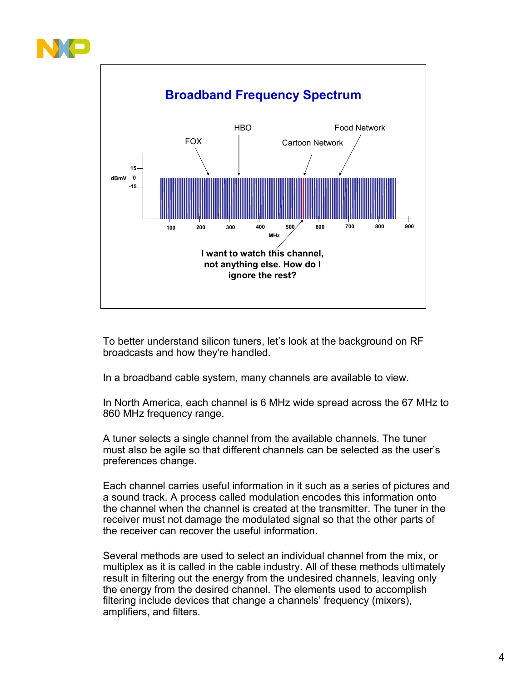



To better understand silicon tuners, let's look at the background on RF broadcasts and how they're handled.

In a broadband cable system, many channels are available to view.

In North America, each channel is 6 MHz wide spread across the 67 MHz to 860 MHz frequency range.

A tuner selects a single channel from the available channels. The tuner must also be agile so that different channels can be selected as the user's preferences change.

Each channel carries useful information in it such as a series of pictures and a sound track. A process called modulation encodes this information onto the channel when the channel is created at the transmitter. The tuner in the receiver must not damage the modulated signal so that the other parts of the receiver can recover the useful information.

Several methods are used to select an individual channel from the mix, or multiplex as it is called in the cable industry. All of these methods ultimately result in filtering out the energy from the undesired channels, leaving only the energy from the desired channel. The elements used to accomplish filtering include devices that change a channels' frequency (mixers), amplifiers, and filters.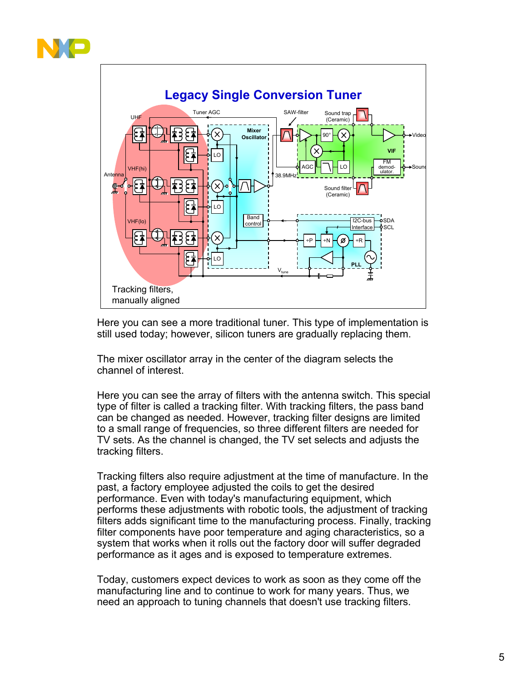



Here you can see a more traditional tuner. This type of implementation is still used today; however, silicon tuners are gradually replacing them.

The mixer oscillator array in the center of the diagram selects the channel of interest.

Here you can see the array of filters with the antenna switch. This special type of filter is called a tracking filter. With tracking filters, the pass band can be changed as needed. However, tracking filter designs are limited to a small range of frequencies, so three different filters are needed for TV sets. As the channel is changed, the TV set selects and adjusts the tracking filters.

Tracking filters also require adjustment at the time of manufacture. In the past, a factory employee adjusted the coils to get the desired performance. Even with today's manufacturing equipment, which performs these adjustments with robotic tools, the adjustment of tracking filters adds significant time to the manufacturing process. Finally, tracking filter components have poor temperature and aging characteristics, so a system that works when it rolls out the factory door will suffer degraded performance as it ages and is exposed to temperature extremes.

Today, customers expect devices to work as soon as they come off the manufacturing line and to continue to work for many years. Thus, we need an approach to tuning channels that doesn't use tracking filters.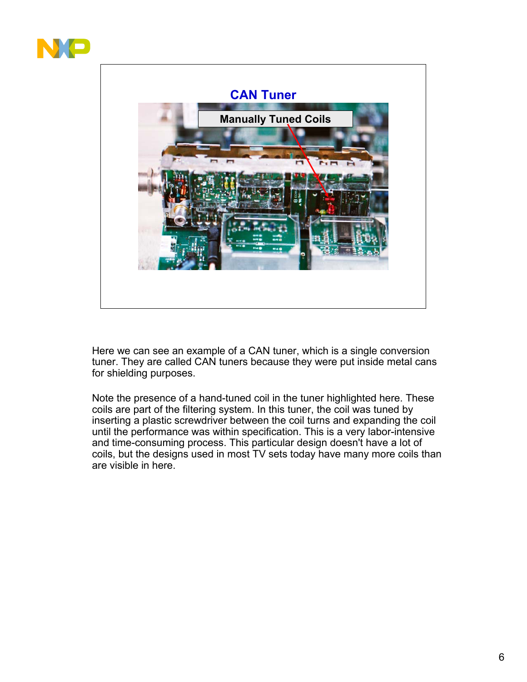



Here we can see an example of a CAN tuner, which is a single conversion tuner. They are called CAN tuners because they were put inside metal cans for shielding purposes.

Note the presence of a hand-tuned coil in the tuner highlighted here. These coils are part of the filtering system. In this tuner, the coil was tuned by inserting a plastic screwdriver between the coil turns and expanding the coil until the performance was within specification. This is a very labor-intensive and time-consuming process. This particular design doesn't have a lot of coils, but the designs used in most TV sets today have many more coils than are visible in here.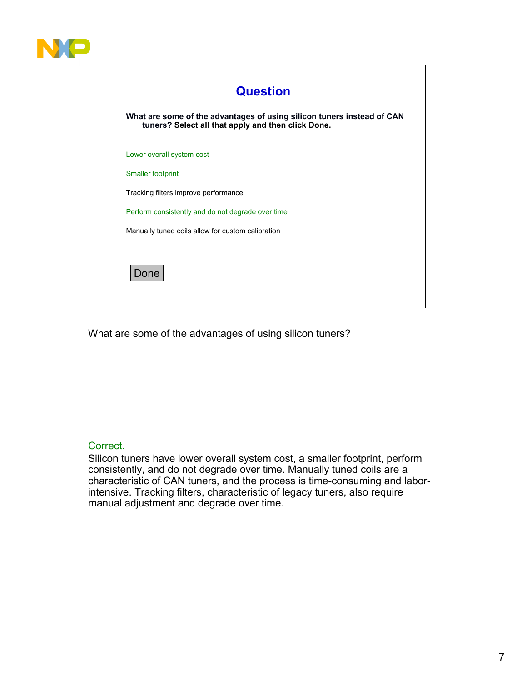



What are some of the advantages of using silicon tuners?

## Correct.

Silicon tuners have lower overall system cost, a smaller footprint, perform consistently, and do not degrade over time. Manually tuned coils are a characteristic of CAN tuners, and the process is time-consuming and laborintensive. Tracking filters, characteristic of legacy tuners, also require manual adjustment and degrade over time.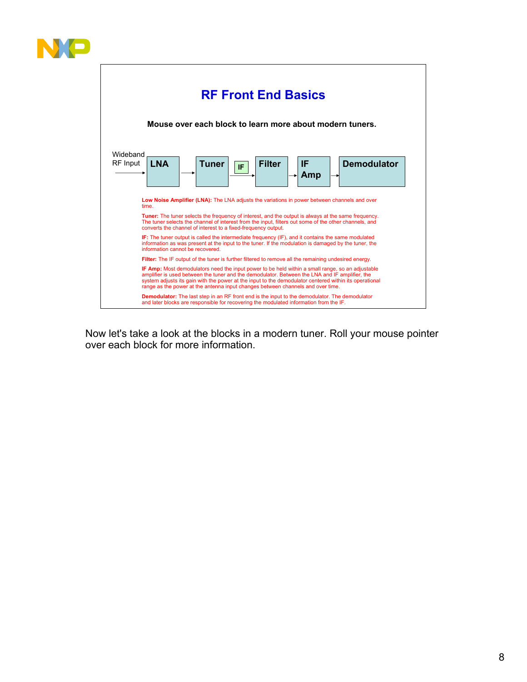



Now let's take a look at the blocks in a modern tuner. Roll your mouse pointer over each block for more information.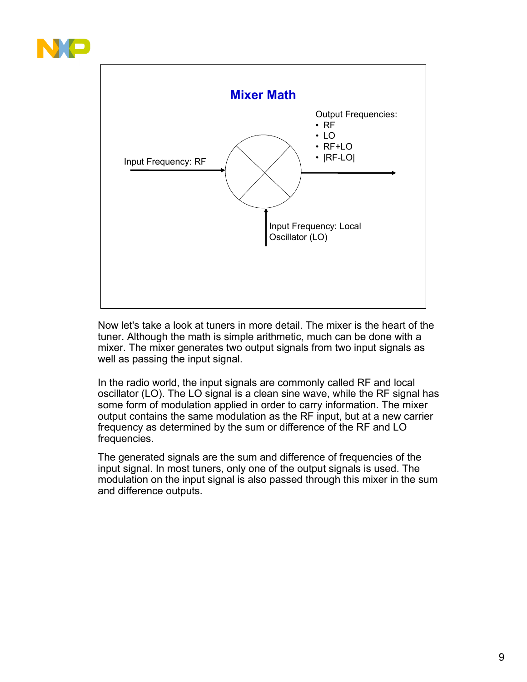



Now let's take a look at tuners in more detail. The mixer is the heart of the tuner. Although the math is simple arithmetic, much can be done with a mixer. The mixer generates two output signals from two input signals as well as passing the input signal.

In the radio world, the input signals are commonly called RF and local oscillator (LO). The LO signal is a clean sine wave, while the RF signal has some form of modulation applied in order to carry information. The mixer output contains the same modulation as the RF input, but at a new carrier frequency as determined by the sum or difference of the RF and LO frequencies.

The generated signals are the sum and difference of frequencies of the input signal. In most tuners, only one of the output signals is used. The modulation on the input signal is also passed through this mixer in the sum and difference outputs.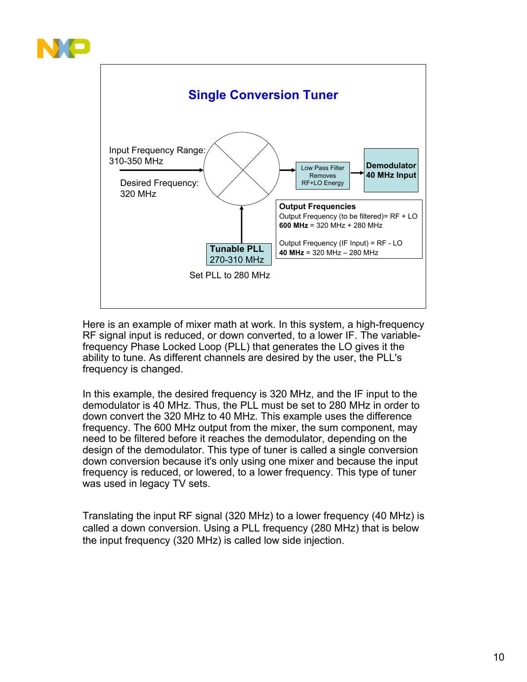



Here is an example of mixer math at work. In this system, a high-frequency RF signal input is reduced, or down converted, to a lower IF. The variablefrequency Phase Locked Loop (PLL) that generates the LO gives it the ability to tune. As different channels are desired by the user, the PLL's frequency is changed.

In this example, the desired frequency is 320 MHz, and the IF input to the demodulator is 40 MHz. Thus, the PLL must be set to 280 MHz in order to down convert the 320 MHz to 40 MHz. This example uses the difference frequency. The 600 MHz output from the mixer, the sum component, may need to be filtered before it reaches the demodulator, depending on the design of the demodulator. This type of tuner is called a single conversion down conversion because it's only using one mixer and because the input frequency is reduced, or lowered, to a lower frequency. This type of tuner was used in legacy TV sets.

Translating the input RF signal (320 MHz) to a lower frequency (40 MHz) is called a down conversion. Using a PLL frequency (280 MHz) that is below the input frequency (320 MHz) is called low side injection.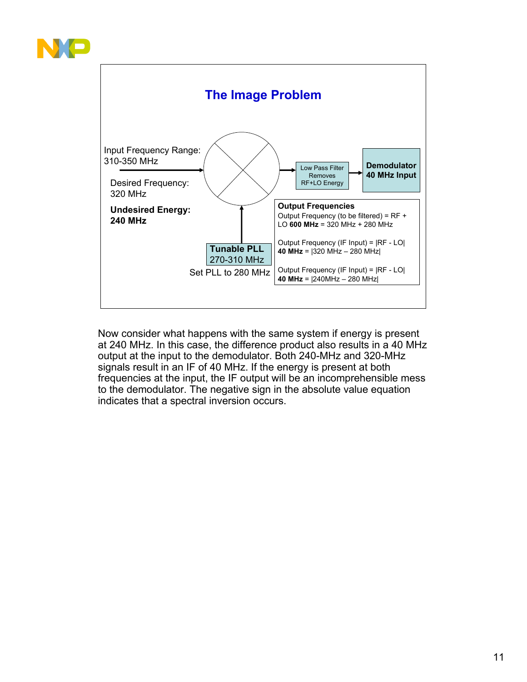



Now consider what happens with the same system if energy is present at 240 MHz. In this case, the difference product also results in a 40 MHz output at the input to the demodulator. Both 240-MHz and 320-MHz signals result in an IF of 40 MHz. If the energy is present at both frequencies at the input, the IF output will be an incomprehensible mess to the demodulator. The negative sign in the absolute value equation indicates that a spectral inversion occurs.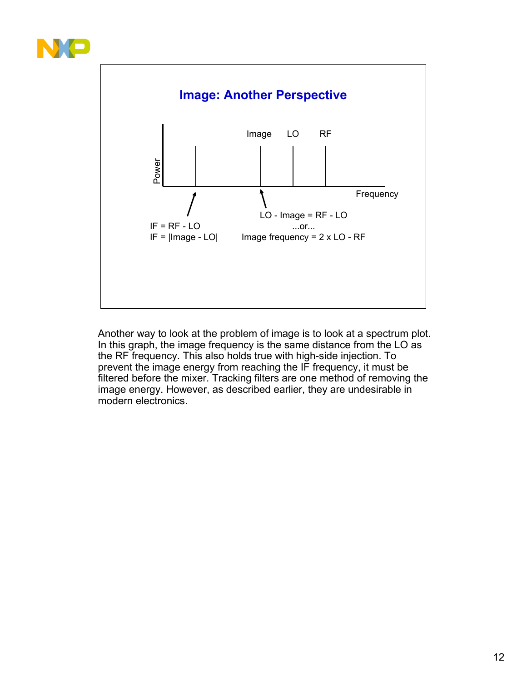



Another way to look at the problem of image is to look at a spectrum plot. In this graph, the image frequency is the same distance from the LO as the RF frequency. This also holds true with high-side injection. To prevent the image energy from reaching the IF frequency, it must be filtered before the mixer. Tracking filters are one method of removing the image energy. However, as described earlier, they are undesirable in modern electronics.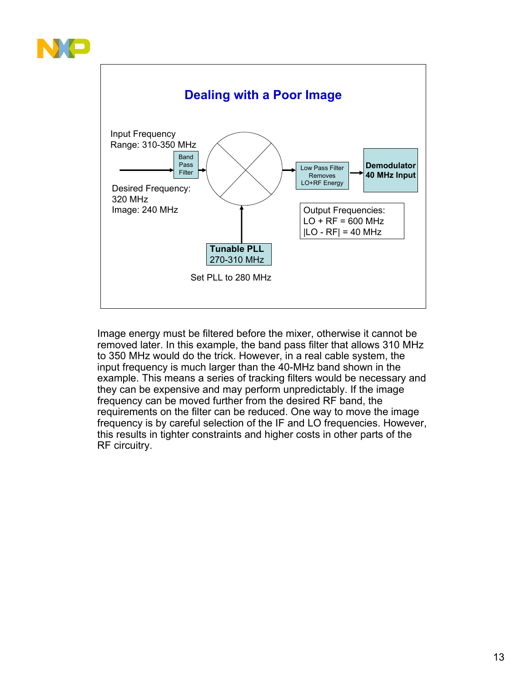



Image energy must be filtered before the mixer, otherwise it cannot be removed later. In this example, the band pass filter that allows 310 MHz to 350 MHz would do the trick. However, in a real cable system, the input frequency is much larger than the 40-MHz band shown in the example. This means a series of tracking filters would be necessary and they can be expensive and may perform unpredictably. If the image frequency can be moved further from the desired RF band, the requirements on the filter can be reduced. One way to move the image frequency is by careful selection of the IF and LO frequencies. However, this results in tighter constraints and higher costs in other parts of the RF circuitry.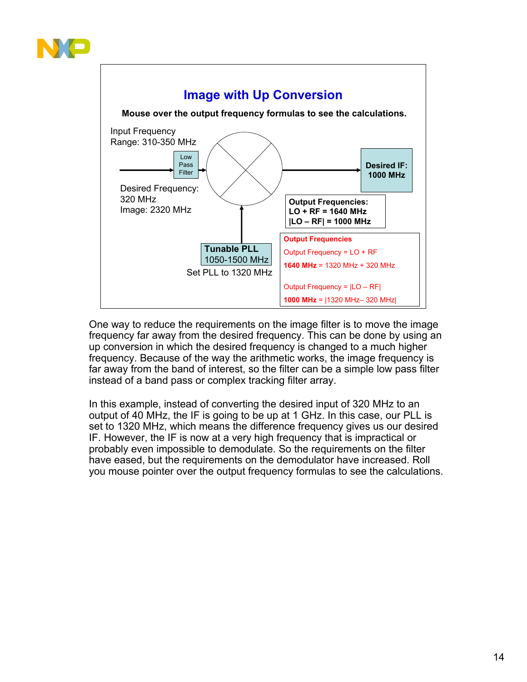



One way to reduce the requirements on the image filter is to move the image frequency far away from the desired frequency. This can be done by using an up conversion in which the desired frequency is changed to a much higher frequency. Because of the way the arithmetic works, the image frequency is far away from the band of interest, so the filter can be a simple low pass filter instead of a band pass or complex tracking filter array.

In this example, instead of converting the desired input of 320 MHz to an output of 40 MHz, the IF is going to be up at 1 GHz. In this case, our PLL is set to 1320 MHz, which means the difference frequency gives us our desired IF. However, the IF is now at a very high frequency that is impractical or probably even impossible to demodulate. So the requirements on the filter have eased, but the requirements on the demodulator have increased. Roll you mouse pointer over the output frequency formulas to see the calculations.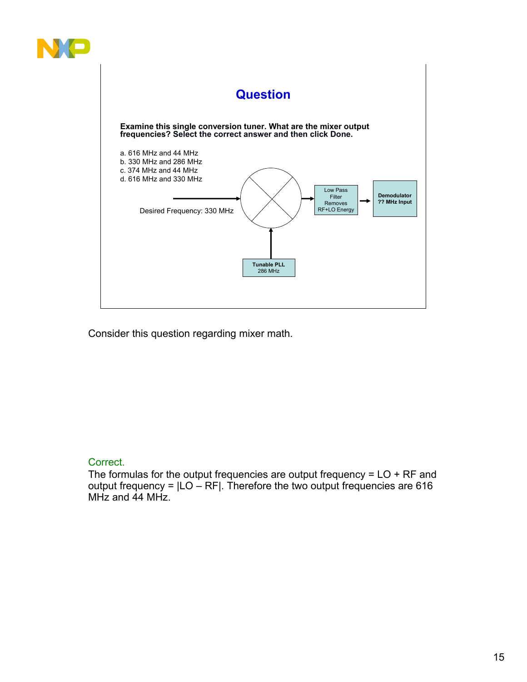

Consider this question regarding mixer math.

## Correct.

The formulas for the output frequencies are output frequency  $=$  LO  $+$  RF and output frequency =  $|LO - RF|$ . Therefore the two output frequencies are 616 MHz and 44 MHz.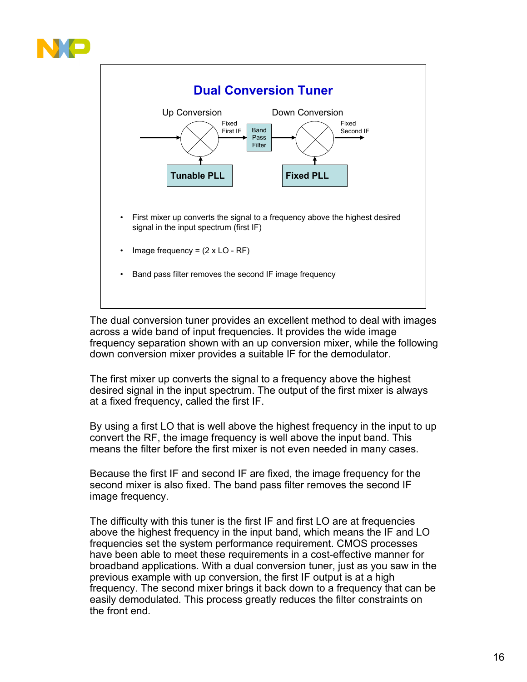



The dual conversion tuner provides an excellent method to deal with images across a wide band of input frequencies. It provides the wide image frequency separation shown with an up conversion mixer, while the following down conversion mixer provides a suitable IF for the demodulator.

The first mixer up converts the signal to a frequency above the highest desired signal in the input spectrum. The output of the first mixer is always at a fixed frequency, called the first IF.

By using a first LO that is well above the highest frequency in the input to up convert the RF, the image frequency is well above the input band. This means the filter before the first mixer is not even needed in many cases.

Because the first IF and second IF are fixed, the image frequency for the second mixer is also fixed. The band pass filter removes the second IF image frequency.

The difficulty with this tuner is the first IF and first LO are at frequencies above the highest frequency in the input band, which means the IF and LO frequencies set the system performance requirement. CMOS processes have been able to meet these requirements in a cost-effective manner for broadband applications. With a dual conversion tuner, just as you saw in the previous example with up conversion, the first IF output is at a high frequency. The second mixer brings it back down to a frequency that can be easily demodulated. This process greatly reduces the filter constraints on the front end.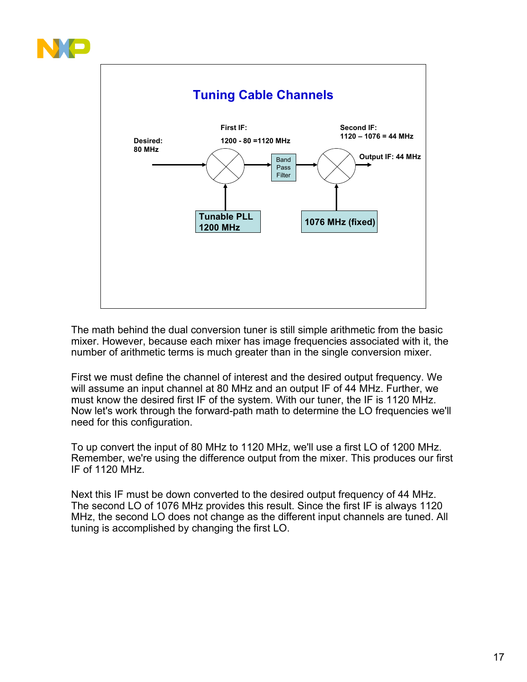



The math behind the dual conversion tuner is still simple arithmetic from the basic mixer. However, because each mixer has image frequencies associated with it, the number of arithmetic terms is much greater than in the single conversion mixer.

First we must define the channel of interest and the desired output frequency. We will assume an input channel at 80 MHz and an output IF of 44 MHz. Further, we must know the desired first IF of the system. With our tuner, the IF is 1120 MHz. Now let's work through the forward-path math to determine the LO frequencies we'll need for this configuration.

To up convert the input of 80 MHz to 1120 MHz, we'll use a first LO of 1200 MHz. Remember, we're using the difference output from the mixer. This produces our first IF of 1120 MHz.

Next this IF must be down converted to the desired output frequency of 44 MHz. The second LO of 1076 MHz provides this result. Since the first IF is always 1120 MHz, the second LO does not change as the different input channels are tuned. All tuning is accomplished by changing the first LO.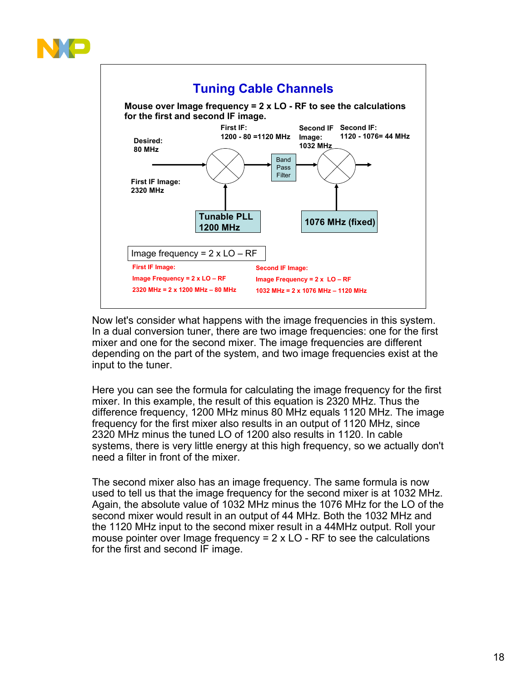



Now let's consider what happens with the image frequencies in this system. In a dual conversion tuner, there are two image frequencies: one for the first mixer and one for the second mixer. The image frequencies are different depending on the part of the system, and two image frequencies exist at the input to the tuner.

Here you can see the formula for calculating the image frequency for the first mixer. In this example, the result of this equation is 2320 MHz. Thus the difference frequency, 1200 MHz minus 80 MHz equals 1120 MHz. The image frequency for the first mixer also results in an output of 1120 MHz, since 2320 MHz minus the tuned LO of 1200 also results in 1120. In cable systems, there is very little energy at this high frequency, so we actually don't need a filter in front of the mixer.

The second mixer also has an image frequency. The same formula is now used to tell us that the image frequency for the second mixer is at 1032 MHz. Again, the absolute value of 1032 MHz minus the 1076 MHz for the LO of the second mixer would result in an output of 44 MHz. Both the 1032 MHz and the 1120 MHz input to the second mixer result in a 44MHz output. Roll your mouse pointer over Image frequency  $= 2 \times LO$  - RF to see the calculations for the first and second IF image.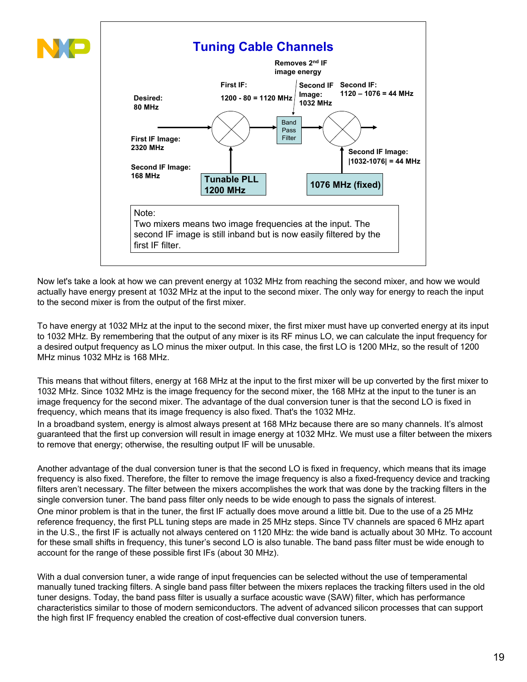![](_page_18_Figure_0.jpeg)

Now let's take a look at how we can prevent energy at 1032 MHz from reaching the second mixer, and how we would actually have energy present at 1032 MHz at the input to the second mixer. The only way for energy to reach the input to the second mixer is from the output of the first mixer.

To have energy at 1032 MHz at the input to the second mixer, the first mixer must have up converted energy at its input to 1032 MHz. By remembering that the output of any mixer is its RF minus LO, we can calculate the input frequency for a desired output frequency as LO minus the mixer output. In this case, the first LO is 1200 MHz, so the result of 1200 MHz minus 1032 MHz is 168 MHz.

This means that without filters, energy at 168 MHz at the input to the first mixer will be up converted by the first mixer to 1032 MHz. Since 1032 MHz is the image frequency for the second mixer, the 168 MHz at the input to the tuner is an image frequency for the second mixer. The advantage of the dual conversion tuner is that the second LO is fixed in frequency, which means that its image frequency is also fixed. That's the 1032 MHz.

In a broadband system, energy is almost always present at 168 MHz because there are so many channels. It's almost guaranteed that the first up conversion will result in image energy at 1032 MHz. We must use a filter between the mixers to remove that energy; otherwise, the resulting output IF will be unusable.

Another advantage of the dual conversion tuner is that the second LO is fixed in frequency, which means that its image frequency is also fixed. Therefore, the filter to remove the image frequency is also a fixed-frequency device and tracking filters aren't necessary. The filter between the mixers accomplishes the work that was done by the tracking filters in the single conversion tuner. The band pass filter only needs to be wide enough to pass the signals of interest.

One minor problem is that in the tuner, the first IF actually does move around a little bit. Due to the use of a 25 MHz reference frequency, the first PLL tuning steps are made in 25 MHz steps. Since TV channels are spaced 6 MHz apart in the U.S., the first IF is actually not always centered on 1120 MHz: the wide band is actually about 30 MHz. To account for these small shifts in frequency, this tuner's second LO is also tunable. The band pass filter must be wide enough to account for the range of these possible first IFs (about 30 MHz).

With a dual conversion tuner, a wide range of input frequencies can be selected without the use of temperamental manually tuned tracking filters. A single band pass filter between the mixers replaces the tracking filters used in the old tuner designs. Today, the band pass filter is usually a surface acoustic wave (SAW) filter, which has performance characteristics similar to those of modern semiconductors. The advent of advanced silicon processes that can support the high first IF frequency enabled the creation of cost-effective dual conversion tuners.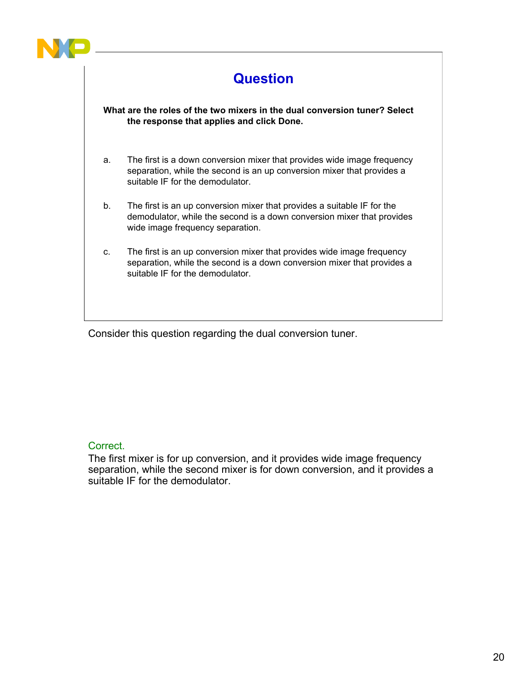![](_page_19_Picture_0.jpeg)

# **Question**

**What are the roles of the two mixers in the dual conversion tuner? Select the response that applies and click Done.**

- a. The first is a down conversion mixer that provides wide image frequency separation, while the second is an up conversion mixer that provides a suitable IF for the demodulator.
- b. The first is an up conversion mixer that provides a suitable IF for the demodulator, while the second is a down conversion mixer that provides wide image frequency separation.
- c. The first is an up conversion mixer that provides wide image frequency separation, while the second is a down conversion mixer that provides a suitable IF for the demodulator.

Consider this question regarding the dual conversion tuner.

## Correct.

The first mixer is for up conversion, and it provides wide image frequency separation, while the second mixer is for down conversion, and it provides a suitable IF for the demodulator.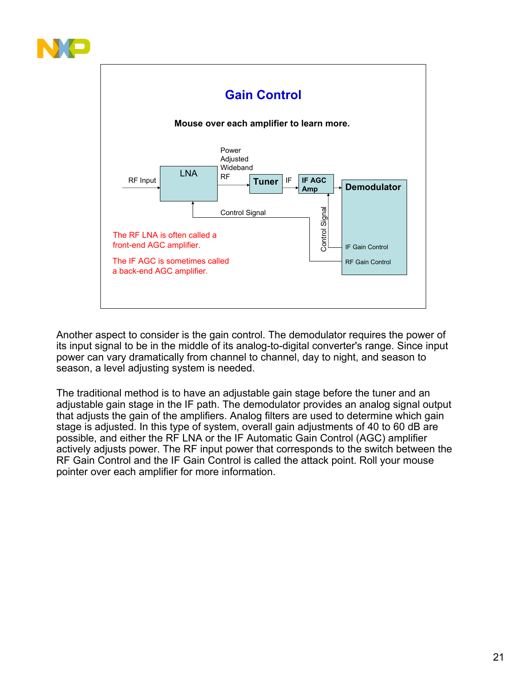![](_page_20_Picture_0.jpeg)

![](_page_20_Figure_1.jpeg)

Another aspect to consider is the gain control. The demodulator requires the power of its input signal to be in the middle of its analog-to-digital converter's range. Since input power can vary dramatically from channel to channel, day to night, and season to season, a level adjusting system is needed.

The traditional method is to have an adjustable gain stage before the tuner and an adjustable gain stage in the IF path. The demodulator provides an analog signal output that adjusts the gain of the amplifiers. Analog filters are used to determine which gain stage is adjusted. In this type of system, overall gain adjustments of 40 to 60 dB are possible, and either the RF LNA or the IF Automatic Gain Control (AGC) amplifier actively adjusts power. The RF input power that corresponds to the switch between the RF Gain Control and the IF Gain Control is called the attack point. Roll your mouse pointer over each amplifier for more information.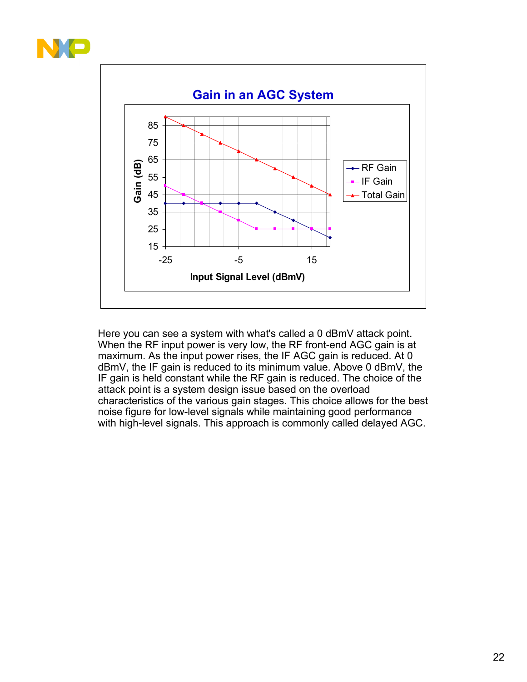![](_page_21_Picture_0.jpeg)

![](_page_21_Figure_1.jpeg)

Here you can see a system with what's called a 0 dBmV attack point. When the RF input power is very low, the RF front-end AGC gain is at maximum. As the input power rises, the IF AGC gain is reduced. At 0 dBmV, the IF gain is reduced to its minimum value. Above 0 dBmV, the IF gain is held constant while the RF gain is reduced. The choice of the attack point is a system design issue based on the overload characteristics of the various gain stages. This choice allows for the best noise figure for low-level signals while maintaining good performance with high-level signals. This approach is commonly called delayed AGC.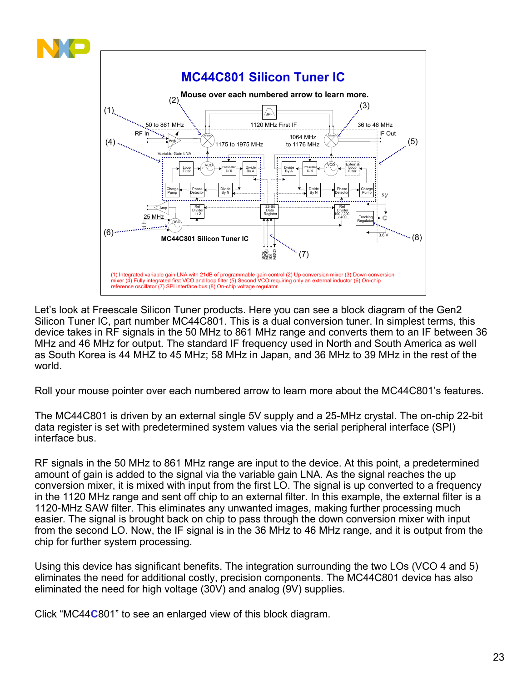![](_page_22_Figure_0.jpeg)

Let's look at Freescale Silicon Tuner products. Here you can see a block diagram of the Gen2 Silicon Tuner IC, part number MC44C801. This is a dual conversion tuner. In simplest terms, this device takes in RF signals in the 50 MHz to 861 MHz range and converts them to an IF between 36 MHz and 46 MHz for output. The standard IF frequency used in North and South America as well as South Korea is 44 MHZ to 45 MHz; 58 MHz in Japan, and 36 MHz to 39 MHz in the rest of the world.

Roll your mouse pointer over each numbered arrow to learn more about the MC44C801's features.

The MC44C801 is driven by an external single 5V supply and a 25-MHz crystal. The on-chip 22-bit data register is set with predetermined system values via the serial peripheral interface (SPI) interface bus.

RF signals in the 50 MHz to 861 MHz range are input to the device. At this point, a predetermined amount of gain is added to the signal via the variable gain LNA. As the signal reaches the up conversion mixer, it is mixed with input from the first LO. The signal is up converted to a frequency in the 1120 MHz range and sent off chip to an external filter. In this example, the external filter is a 1120-MHz SAW filter. This eliminates any unwanted images, making further processing much easier. The signal is brought back on chip to pass through the down conversion mixer with input from the second LO. Now, the IF signal is in the 36 MHz to 46 MHz range, and it is output from the chip for further system processing.

Using this device has significant benefits. The integration surrounding the two LOs (VCO 4 and 5) eliminates the need for additional costly, precision components. The MC44C801 device has also eliminated the need for high voltage (30V) and analog (9V) supplies.

Click "MC44**C**801" to see an enlarged view of this block diagram.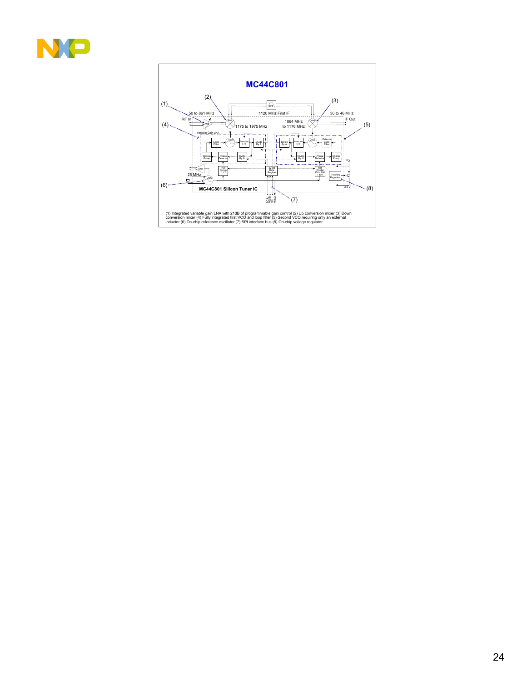![](_page_23_Picture_0.jpeg)

![](_page_23_Figure_1.jpeg)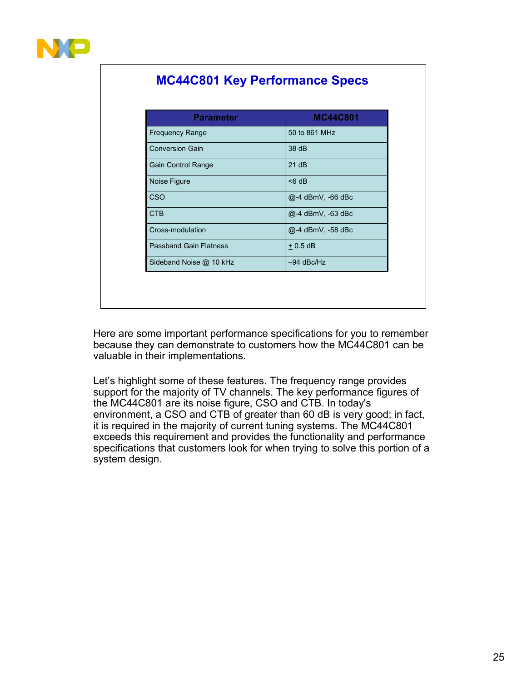![](_page_24_Picture_0.jpeg)

# **MC44C801 Key Performance Specs**

| <b>Parameter</b>              | <b>MC44C801</b>                                                                                                                                                                                                                                                                                                                                                                                                                                                             |
|-------------------------------|-----------------------------------------------------------------------------------------------------------------------------------------------------------------------------------------------------------------------------------------------------------------------------------------------------------------------------------------------------------------------------------------------------------------------------------------------------------------------------|
| <b>Frequency Range</b>        | 50 to 861 MHz                                                                                                                                                                                                                                                                                                                                                                                                                                                               |
| <b>Conversion Gain</b>        | 38 dB                                                                                                                                                                                                                                                                                                                                                                                                                                                                       |
| <b>Gain Control Range</b>     | 21 dB                                                                                                                                                                                                                                                                                                                                                                                                                                                                       |
| Noise Figure                  | $< 6$ dB                                                                                                                                                                                                                                                                                                                                                                                                                                                                    |
| <b>CSO</b>                    | @-4 dBmV, -66 dBc                                                                                                                                                                                                                                                                                                                                                                                                                                                           |
| <b>CTB</b>                    | @-4 dBmV, -63 dBc                                                                                                                                                                                                                                                                                                                                                                                                                                                           |
| Cross-modulation              | @-4 dBmV, -58 dBc                                                                                                                                                                                                                                                                                                                                                                                                                                                           |
| <b>Passband Gain Flatness</b> | $+0.5$ dB<br>$\label{eq:3.1} \begin{split} \mathcal{L}_{\mathcal{A}}(\mathcal{A},\mathcal{A},\mathcal{A},\mathcal{A},\mathcal{A},\mathcal{A},\mathcal{A},\mathcal{A},\mathcal{A},\mathcal{A},\mathcal{A},\mathcal{A},\mathcal{A},\mathcal{A},\mathcal{A},\mathcal{A},\mathcal{A},\mathcal{A},\mathcal{A},\mathcal{A},\mathcal{A},\mathcal{A},\mathcal{A},\mathcal{A},\mathcal{A},\mathcal{A},\mathcal{A},\mathcal{A},\mathcal{A},\mathcal{A},\mathcal{A},\mathcal{A},\math$ |
| Sideband Noise @ 10 kHz       | $-94$ dBc/Hz<br>and the second contract of the second                                                                                                                                                                                                                                                                                                                                                                                                                       |

Here are some important performance specifications for you to remember because they can demonstrate to customers how the MC44C801 can be valuable in their implementations.

Let's highlight some of these features. The frequency range provides support for the majority of TV channels. The key performance figures of the MC44C801 are its noise figure, CSO and CTB. In today's environment, a CSO and CTB of greater than 60 dB is very good; in fact, it is required in the majority of current tuning systems. The MC44C801 exceeds this requirement and provides the functionality and performance specifications that customers look for when trying to solve this portion of a system design.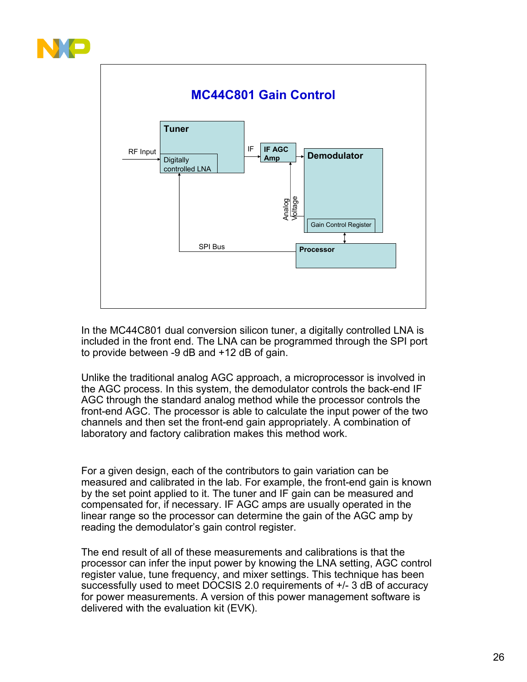![](_page_25_Picture_0.jpeg)

![](_page_25_Figure_1.jpeg)

In the MC44C801 dual conversion silicon tuner, a digitally controlled LNA is included in the front end. The LNA can be programmed through the SPI port to provide between -9 dB and +12 dB of gain.

Unlike the traditional analog AGC approach, a microprocessor is involved in the AGC process. In this system, the demodulator controls the back-end IF AGC through the standard analog method while the processor controls the front-end AGC. The processor is able to calculate the input power of the two channels and then set the front-end gain appropriately. A combination of laboratory and factory calibration makes this method work.

For a given design, each of the contributors to gain variation can be measured and calibrated in the lab. For example, the front-end gain is known by the set point applied to it. The tuner and IF gain can be measured and compensated for, if necessary. IF AGC amps are usually operated in the linear range so the processor can determine the gain of the AGC amp by reading the demodulator's gain control register.

The end result of all of these measurements and calibrations is that the processor can infer the input power by knowing the LNA setting, AGC control register value, tune frequency, and mixer settings. This technique has been successfully used to meet DOCSIS 2.0 requirements of +/- 3 dB of accuracy for power measurements. A version of this power management software is delivered with the evaluation kit (EVK).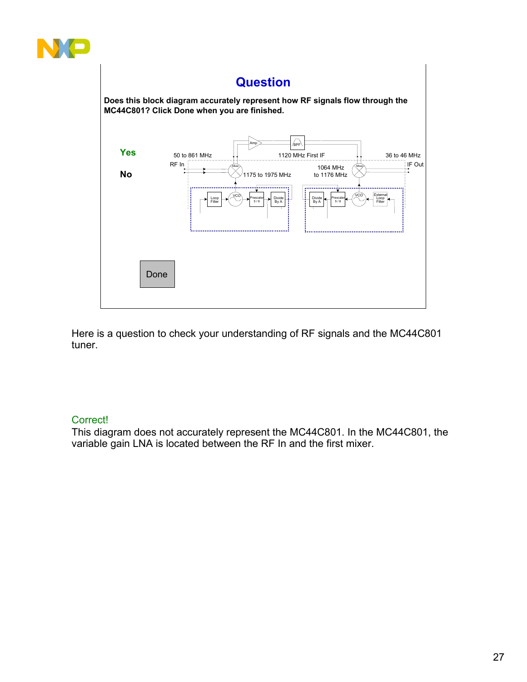![](_page_26_Figure_0.jpeg)

#### **Question Does this block diagram accurately represent how RF signals flow through the MC44C801? Click Done when you are finished.** Amp BPF **Yes**  50 to 861 MHz 1120 MHz First IF 36 to 46 MHz  $RF \text{ In }$  IF Out  $Mixer \sim 1064 \text{ MHz}$  MHz **No** to 1176 MHz 1175 to 1975 MHz VCO **External** VCO Loop escaler Divide<br>5/6 Divide Divide  $\left|\leftarrow\right|$  Presca Loop oua<br>5/6  $5/6$ Filter Filter Done

Here is a question to check your understanding of RF signals and the MC44C801 tuner.

## Correct!

This diagram does not accurately represent the MC44C801. In the MC44C801, the variable gain LNA is located between the RF In and the first mixer.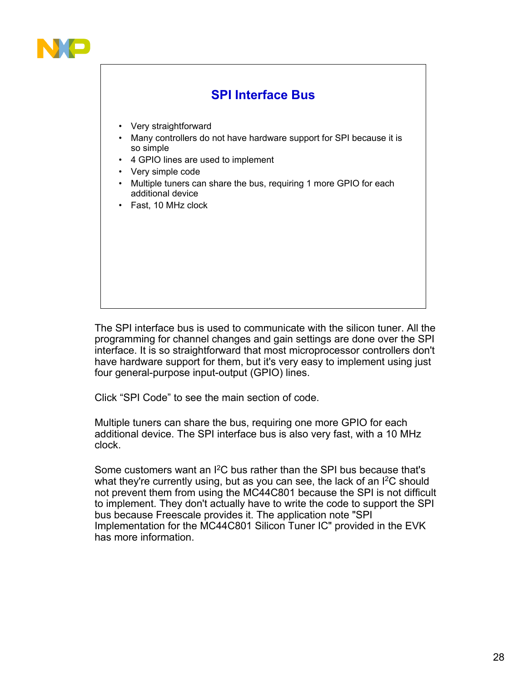![](_page_27_Picture_0.jpeg)

## **SPI Interface Bus**

- Very straightforward
- Many controllers do not have hardware support for SPI because it is so simple
- 4 GPIO lines are used to implement
- Very simple code
- Multiple tuners can share the bus, requiring 1 more GPIO for each additional device
- Fast, 10 MHz clock

The SPI interface bus is used to communicate with the silicon tuner. All the programming for channel changes and gain settings are done over the SPI interface. It is so straightforward that most microprocessor controllers don't have hardware support for them, but it's very easy to implement using just four general-purpose input-output (GPIO) lines.

Click "SPI Code" to see the main section of code.

Multiple tuners can share the bus, requiring one more GPIO for each additional device. The SPI interface bus is also very fast, with a 10 MHz clock.

Some customers want an  $I^2C$  bus rather than the SPI bus because that's what they're currently using, but as you can see, the lack of an I<sup>2</sup>C should not prevent them from using the MC44C801 because the SPI is not difficult to implement. They don't actually have to write the code to support the SPI bus because Freescale provides it. The application note "SPI Implementation for the MC44C801 Silicon Tuner IC" provided in the EVK has more information.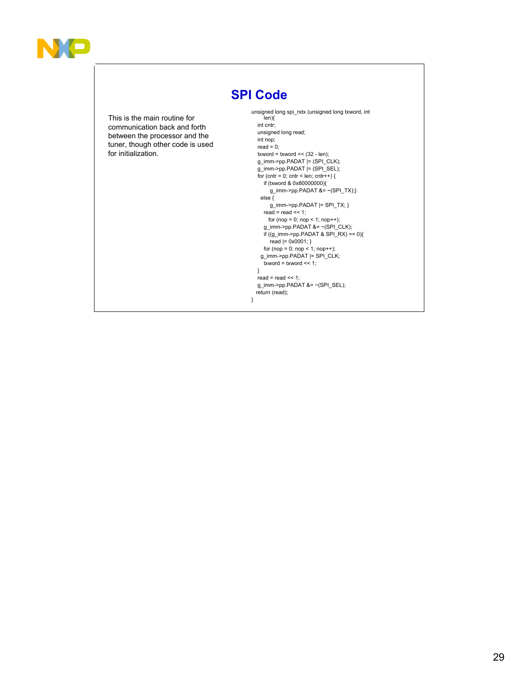![](_page_28_Picture_0.jpeg)

## **SPI Code**

This is the main routine for communication back and forth between the processor and the tuner, though other code is used for initialization.

unsigned long spi\_rxtx (unsigned long txword, int len){ int cntr; unsigned long read; int nop; read =  $0$ ; txword = txword <<  $(32 - len)$ ; g\_imm->pp.PADAT |= (SPI\_CLK); g\_imm->pp.PADAT |= (SPI\_SEL); for (cntr = 0; cntr < len; cntr++) { if (txword & 0x80000000){  $g_{\text{min}}$ ->pp.PADAT &= ~(SPI\_TX);} else { g\_imm->pp.PADAT |= SPI\_TX; } read = read << 1; for  $(nop = 0; pop < 1; nop++);$ g\_imm->pp.PADAT &= ~(SPI\_CLK); if  $((g\_imm\text{-}pp.PADAT & SPI_RX) == 0)$ read |= 0x0001; } for (nop = 0; nop < 1; nop++); g\_imm->pp.PADAT |= SPI\_CLK;  $t$ xword =  $t$ xword << 1; }  $read = read \ll 1$ ; g\_imm->pp.PADAT &= ~(SPI\_SEL);

return (read);

}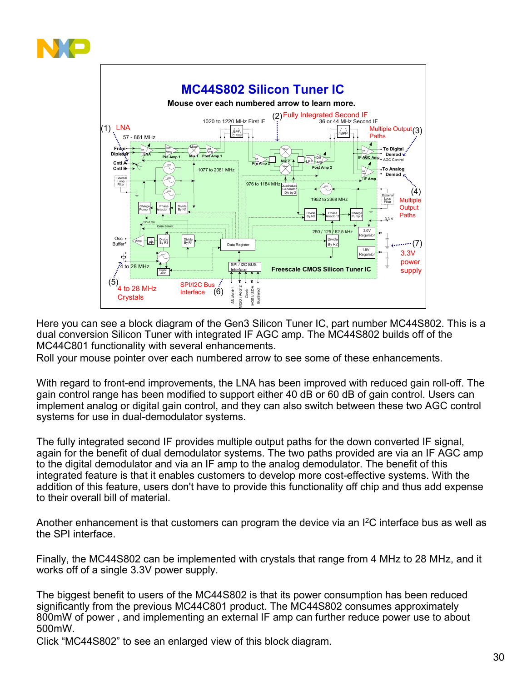![](_page_29_Picture_0.jpeg)

![](_page_29_Figure_1.jpeg)

Here you can see a block diagram of the Gen3 Silicon Tuner IC, part number MC44S802. This is a dual conversion Silicon Tuner with integrated IF AGC amp. The MC44S802 builds off of the MC44C801 functionality with several enhancements.

Roll your mouse pointer over each numbered arrow to see some of these enhancements.

With regard to front-end improvements, the LNA has been improved with reduced gain roll-off. The gain control range has been modified to support either 40 dB or 60 dB of gain control. Users can implement analog or digital gain control, and they can also switch between these two AGC control systems for use in dual-demodulator systems.

The fully integrated second IF provides multiple output paths for the down converted IF signal, again for the benefit of dual demodulator systems. The two paths provided are via an IF AGC amp to the digital demodulator and via an IF amp to the analog demodulator. The benefit of this integrated feature is that it enables customers to develop more cost-effective systems. With the addition of this feature, users don't have to provide this functionality off chip and thus add expense to their overall bill of material.

Another enhancement is that customers can program the device via an I<sup>2</sup>C interface bus as well as the SPI interface.

Finally, the MC44S802 can be implemented with crystals that range from 4 MHz to 28 MHz, and it works off of a single 3.3V power supply.

The biggest benefit to users of the MC44S802 is that its power consumption has been reduced significantly from the previous MC44C801 product. The MC44S802 consumes approximately 800mW of power , and implementing an external IF amp can further reduce power use to about 500mW.

Click "MC44S802" to see an enlarged view of this block diagram.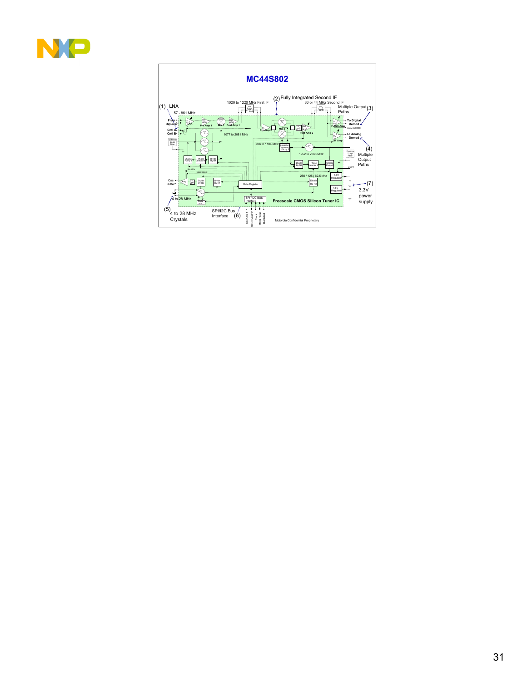![](_page_30_Picture_0.jpeg)

![](_page_30_Figure_1.jpeg)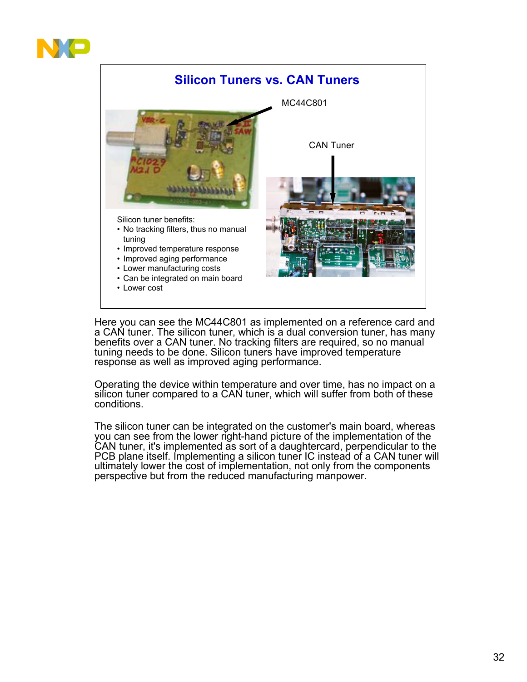![](_page_31_Picture_0.jpeg)

## **Silicon Tuners vs. CAN Tuners**

![](_page_31_Picture_2.jpeg)

Here you can see the MC44C801 as implemented on a reference card and a CAN tuner. The silicon tuner, which is a dual conversion tuner, has many benefits over a CAN tuner. No tracking filters are required, so no manual tuning needs to be done. Silicon tuners have improved temperature response as well as improved aging performance.

Operating the device within temperature and over time, has no impact on a silicon tuner compared to a CAN tuner, which will suffer from both of these conditions.

The silicon tuner can be integrated on the customer's main board, whereas you can see from the lower right-hand picture of the implementation of the CAN tuner, it's implemented as sort of a daughtercard, perpendicular to the PCB plane itself. Implementing a silicon tuner IC instead of a CAN tuner will ultimately lower the cost of implementation, not only from the components perspective but from the reduced manufacturing manpower.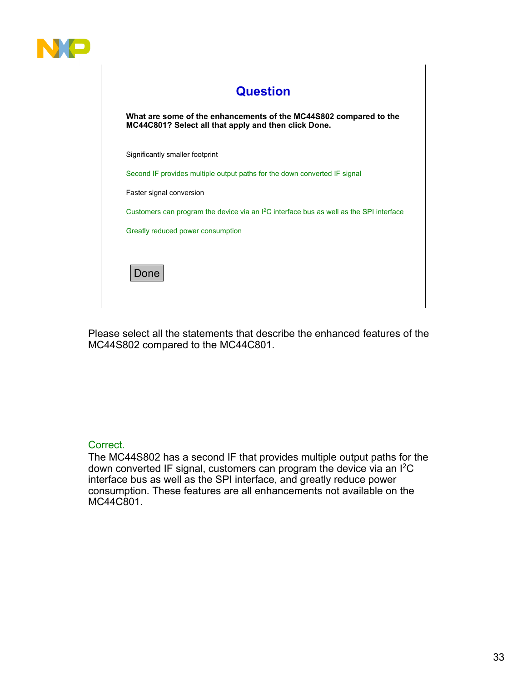![](_page_32_Picture_0.jpeg)

| <b>Question</b>                   |                                                                                                                           |
|-----------------------------------|---------------------------------------------------------------------------------------------------------------------------|
|                                   | What are some of the enhancements of the MC44S802 compared to the<br>MC44C801? Select all that apply and then click Done. |
| Significantly smaller footprint   |                                                                                                                           |
|                                   | Second IF provides multiple output paths for the down converted IF signal                                                 |
| Faster signal conversion          |                                                                                                                           |
|                                   | Customers can program the device via an <sup>2</sup> C interface bus as well as the SPI interface                         |
| Greatly reduced power consumption |                                                                                                                           |

Please select all the statements that describe the enhanced features of the MC44S802 compared to the MC44C801.

### Correct.

The MC44S802 has a second IF that provides multiple output paths for the down converted IF signal, customers can program the device via an I2C interface bus as well as the SPI interface, and greatly reduce power consumption. These features are all enhancements not available on the MC44C801.